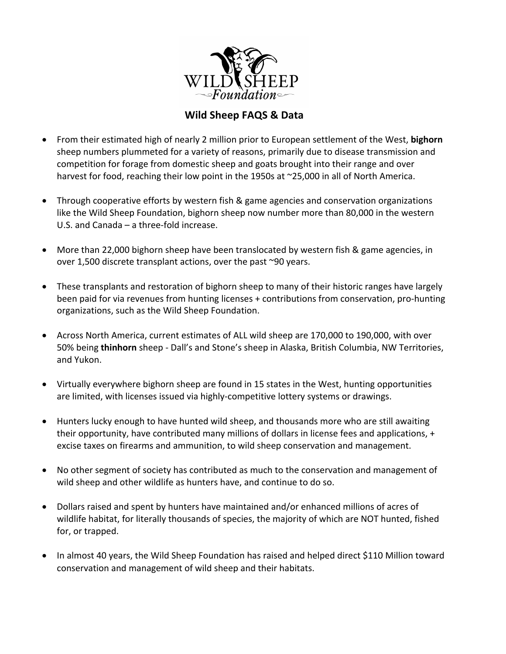

# **Wild Sheep FAQS & Data**

- From their estimated high of nearly 2 million prior to European settlement of the West, **bighorn** sheep numbers plummeted for a variety of reasons, primarily due to disease transmission and competition for forage from domestic sheep and goats brought into their range and over harvest for food, reaching their low point in the 1950s at  $\sim$ 25,000 in all of North America.
- Through cooperative efforts by western fish & game agencies and conservation organizations like the Wild Sheep Foundation, bighorn sheep now number more than 80,000 in the western U.S. and  $Canada - a$  three-fold increase.
- More than 22,000 bighorn sheep have been translocated by western fish & game agencies, in over 1,500 discrete transplant actions, over the past  $\sim$ 90 years.
- These transplants and restoration of bighorn sheep to many of their historic ranges have largely been paid for via revenues from hunting licenses + contributions from conservation, pro-hunting organizations, such as the Wild Sheep Foundation.
- Across North America, current estimates of ALL wild sheep are 170,000 to 190,000, with over 50% being **thinhorn** sheep - Dall's and Stone's sheep in Alaska, British Columbia, NW Territories, and Yukon.
- Virtually everywhere bighorn sheep are found in 15 states in the West, hunting opportunities are limited, with licenses issued via highly-competitive lottery systems or drawings.
- Hunters lucky enough to have hunted wild sheep, and thousands more who are still awaiting their opportunity, have contributed many millions of dollars in license fees and applications,  $+$ excise taxes on firearms and ammunition, to wild sheep conservation and management.
- No other segment of society has contributed as much to the conservation and management of wild sheep and other wildlife as hunters have, and continue to do so.
- Dollars raised and spent by hunters have maintained and/or enhanced millions of acres of wildlife habitat, for literally thousands of species, the majority of which are NOT hunted, fished for, or trapped.
- In almost 40 years, the Wild Sheep Foundation has raised and helped direct \$110 Million toward conservation and management of wild sheep and their habitats.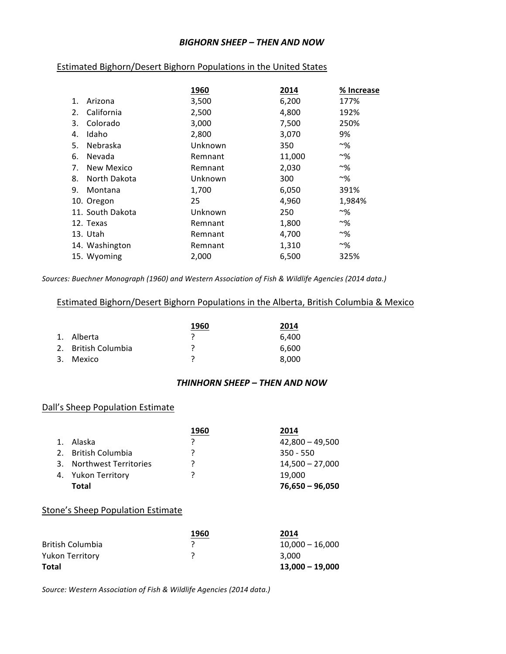#### *BIGHORN SHEEP – THEN AND NOW*

### Estimated Bighorn/Desert Bighorn Populations in the United States

|    |                   | 1960    | 2014   | % Increase     |
|----|-------------------|---------|--------|----------------|
| 1. | Arizona           | 3,500   | 6,200  | 177%           |
| 2. | California        | 2,500   | 4,800  | 192%           |
| 3. | Colorado          | 3,000   | 7,500  | 250%           |
| 4. | Idaho             | 2,800   | 3,070  | 9%             |
| 5. | Nebraska          | Unknown | 350    | $~\sim~\!\!\%$ |
| 6. | Nevada            | Remnant | 11,000 | $~\sim~\!\!\%$ |
| 7. | <b>New Mexico</b> | Remnant | 2,030  | $~\sim~\!\!\%$ |
| 8. | North Dakota      | Unknown | 300    | $~\sim~0/6$    |
| 9. | Montana           | 1,700   | 6,050  | 391%           |
|    | 10. Oregon        | 25      | 4,960  | 1,984%         |
|    | 11. South Dakota  | Unknown | 250    | $~\sim~\!\!\%$ |
|    | 12. Texas         | Remnant | 1,800  | $~\sim~\!\!\%$ |
|    | 13. Utah          | Remnant | 4,700  | $~\sim~\!\!\%$ |
|    | 14. Washington    | Remnant | 1,310  | $~\sim~9/6$    |
|    | 15. Wyoming       | 2,000   | 6,500  | 325%           |
|    |                   |         |        |                |

Sources: Buechner Monograph (1960) and Western Association of Fish & Wildlife Agencies (2014 data.)

### Estimated Bighorn/Desert Bighorn Populations in the Alberta, British Columbia & Mexico

|                     | 1960 | 2014  |
|---------------------|------|-------|
| 1. Alberta          |      | 6.400 |
| 2. British Columbia |      | 6.600 |
| 3. Mexico           |      | 8.000 |

#### *THINHORN SHEEP – THEN AND NOW*

### Dall's Sheep Population Estimate

|                          | 1960 | 2014              |
|--------------------------|------|-------------------|
| 1. Alaska                |      | $42,800 - 49,500$ |
| 2. British Columbia      | 7    | $350 - 550$       |
| 3. Northwest Territories |      | $14,500 - 27,000$ |
| 4. Yukon Territory       |      | 19.000            |
| Total                    |      | $76,650 - 96,050$ |

### **Stone's Sheep Population Estimate**

|                        | 1960 | 2014              |
|------------------------|------|-------------------|
| British Columbia       |      | $10.000 - 16.000$ |
| <b>Yukon Territory</b> |      | 3.000             |
| Total                  |      | $13.000 - 19.000$ |

Source: Western Association of Fish & Wildlife Agencies (2014 data.)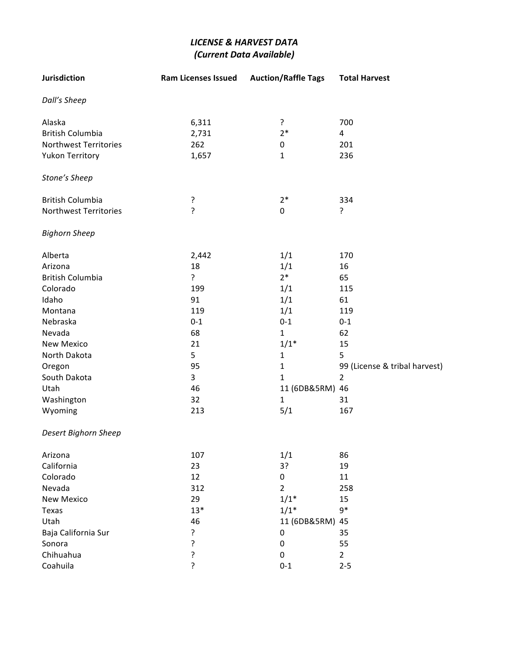## *LICENSE & HARVEST DATA (Current Data Available)*

| Jurisdiction                 | <b>Ram Licenses Issued</b> | <b>Auction/Raffle Tags</b> | <b>Total Harvest</b>          |
|------------------------------|----------------------------|----------------------------|-------------------------------|
| Dall's Sheep                 |                            |                            |                               |
| Alaska                       | 6,311                      | ?                          | 700                           |
| <b>British Columbia</b>      | 2,731                      | $2*$                       | 4                             |
| <b>Northwest Territories</b> | 262                        | $\mathbf 0$                | 201                           |
| <b>Yukon Territory</b>       | 1,657                      | $\mathbf{1}$               | 236                           |
| Stone's Sheep                |                            |                            |                               |
| <b>British Columbia</b>      | ?                          | $2*$                       | 334                           |
| <b>Northwest Territories</b> | ?                          | $\pmb{0}$                  | ?                             |
| <b>Bighorn Sheep</b>         |                            |                            |                               |
| Alberta                      | 2,442                      | 1/1                        | 170                           |
| Arizona                      | 18                         | 1/1                        | 16                            |
| <b>British Columbia</b>      | ?                          | $2*$                       | 65                            |
| Colorado                     | 199                        | 1/1                        | 115                           |
| Idaho                        | 91                         | 1/1                        | 61                            |
| Montana                      | 119                        | 1/1                        | 119                           |
| Nebraska                     | $0 - 1$                    | $0 - 1$                    | $0 - 1$                       |
| Nevada                       | 68                         | $\mathbf{1}$               | 62                            |
| <b>New Mexico</b>            | 21                         | $1/1*$                     | 15                            |
| North Dakota                 | 5                          | $\mathbf{1}$               | 5                             |
| Oregon                       | 95                         | $\mathbf{1}$               | 99 (License & tribal harvest) |
| South Dakota                 | 3                          | 1                          | $\overline{2}$                |
| Utah                         | 46                         | 11 (6DB&5RM) 46            |                               |
| Washington                   | 32                         | $\mathbf{1}$               | 31                            |
| Wyoming                      | 213                        | 5/1                        | 167                           |
| Desert Bighorn Sheep         |                            |                            |                               |
| Arizona                      | 107                        | 1/1                        | 86                            |
| California                   | 23                         | 3?                         | 19                            |
| Colorado                     | 12                         | $\mathbf 0$                | 11                            |
| Nevada                       | 312                        | $\overline{2}$             | 258                           |
| <b>New Mexico</b>            | 29                         | $1/1*$                     | 15                            |
| Texas                        | $13*$                      | $1/1*$                     | $9*$                          |
| Utah                         | 46                         | 11 (6DB&5RM) 45            |                               |
| Baja California Sur          | ?                          | $\mathsf{O}\xspace$        | 35                            |
| Sonora                       | ?                          | 0                          | 55                            |
| Chihuahua                    | ?                          | 0                          | $\overline{2}$                |
| Coahuila                     | 5.                         | $0 - 1$                    | $2 - 5$                       |